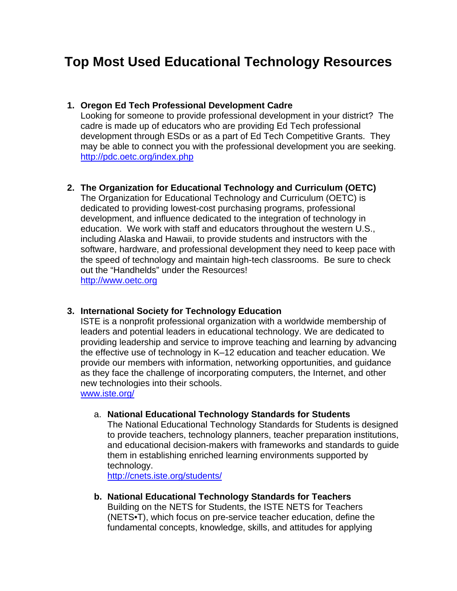# **Top Most Used Educational Technology Resources**

#### **1. Oregon Ed Tech Professional Development Cadre**

Looking for someone to provide professional development in your district? The cadre is made up of educators who are providing Ed Tech professional development through ESDs or as a part of Ed Tech Competitive Grants. They may be able to connect you with the professional development you are seeking. <http://pdc.oetc.org/index.php>

# **2. The Organization for Educational Technology and Curriculum (OETC)**

The Organization for Educational Technology and Curriculum (OETC) is dedicated to providing lowest-cost purchasing programs, professional development, and influence dedicated to the integration of technology in education. We work with staff and educators throughout the western U.S., including Alaska and Hawaii, to provide students and instructors with the software, hardware, and professional development they need to keep pace with the speed of technology and maintain high-tech classrooms. Be sure to check out the "Handhelds" under the Resources!

[http://www.oetc.org](http://www.oetc.org/)

#### **3. International Society for Technology Education**

ISTE is a nonprofit professional organization with a worldwide membership of leaders and potential leaders in educational technology. We are dedicated to providing leadership and service to improve teaching and learning by advancing the effective use of technology in K–12 education and teacher education. We provide our members with information, networking opportunities, and guidance as they face the challenge of incorporating computers, the Internet, and other new technologies into their schools.

[www.iste.org/](http://www.iste.org/)

#### a. **National Educational Technology Standards for Students**

The National Educational Technology Standards for Students is designed to provide teachers, technology planners, teacher preparation institutions, and educational decision-makers with frameworks and standards to guide them in establishing enriched learning environments supported by technology.

<http://cnets.iste.org/students/>

**b. National Educational Technology Standards for Teachers**  Building on the NETS for Students, the ISTE NETS for Teachers (NETS•T), which focus on pre-service teacher education, define the fundamental concepts, knowledge, skills, and attitudes for applying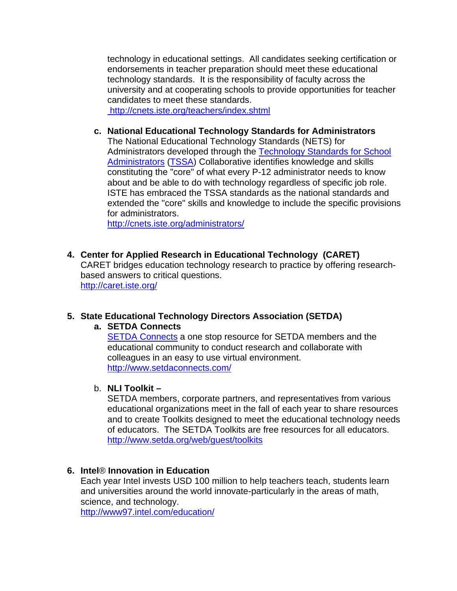technology in educational settings. All candidates seeking certification or endorsements in teacher preparation should meet these educational technology standards. It is the responsibility of faculty across the university and at cooperating schools to provide opportunities for teacher candidates to meet these standards.

 [http://cnets.iste.org/teachers/index.shtml](http://cnets.iste.org/students/)

**c. National Educational Technology Standards for Administrators**  The National Educational Technology Standards (NETS) for Administrators developed through the [Technology Standards for School](http://cnets.iste.org/tssa/)  [Administrators \(TSSA](http://cnets.iste.org/tssa/)) Collaborative identifies knowledge and skills constituting the "core" of what every P-12 administrator needs to know about and be able to do with technology regardless of specific job role. ISTE has embraced the TSSA standards as the national standards and extended the "core" skills and knowledge to include the specific provisions for administrators.

<http://cnets.iste.org/administrators/>

**4. Center for Applied Research in Educational Technology (CARET)**  CARET bridges education technology research to practice by offering researchbased answers to critical questions. <http://caret.iste.org/>

# **5. State Educational Technology Directors Association (SETDA)**

# **a. SETDA Connects**

[SETDA Connects](http://www.setdaconnects.com/) a one stop resource for SETDA members and the educational community to conduct research and collaborate with colleagues in an easy to use virtual environment. <http://www.setdaconnects.com/>

# b. **NLI Toolkit –**

SETDA members, corporate partners, and representatives from various educational organizations meet in the fall of each year to share resources and to create Toolkits designed to meet the educational technology needs of educators. The SETDA Toolkits are free resources for all educators. <http://www.setda.org/web/guest/toolkits>

# **6. Intel**® **Innovation in Education**

Each year Intel invests USD 100 million to help teachers teach, students learn and universities around the world innovate-particularly in the areas of math, science, and technology.

<http://www97.intel.com/education/>